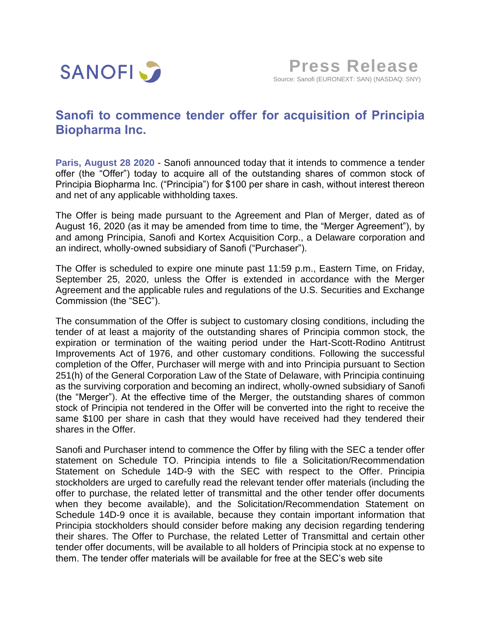

# **Sanofi to commence tender offer for acquisition of Principia Biopharma Inc.**

**Paris, August 28 2020** - Sanofi announced today that it intends to commence a tender offer (the "Offer") today to acquire all of the outstanding shares of common stock of Principia Biopharma Inc. ("Principia") for \$100 per share in cash, without interest thereon and net of any applicable withholding taxes.

The Offer is being made pursuant to the Agreement and Plan of Merger, dated as of August 16, 2020 (as it may be amended from time to time, the "Merger Agreement"), by and among Principia, Sanofi and Kortex Acquisition Corp., a Delaware corporation and an indirect, wholly-owned subsidiary of Sanofi ("Purchaser").

The Offer is scheduled to expire one minute past 11:59 p.m., Eastern Time, on Friday, September 25, 2020, unless the Offer is extended in accordance with the Merger Agreement and the applicable rules and regulations of the U.S. Securities and Exchange Commission (the "SEC").

The consummation of the Offer is subject to customary closing conditions, including the tender of at least a majority of the outstanding shares of Principia common stock, the expiration or termination of the waiting period under the Hart-Scott-Rodino Antitrust Improvements Act of 1976, and other customary conditions. Following the successful completion of the Offer, Purchaser will merge with and into Principia pursuant to Section 251(h) of the General Corporation Law of the State of Delaware, with Principia continuing as the surviving corporation and becoming an indirect, wholly-owned subsidiary of Sanofi (the "Merger"). At the effective time of the Merger, the outstanding shares of common stock of Principia not tendered in the Offer will be converted into the right to receive the same \$100 per share in cash that they would have received had they tendered their shares in the Offer.

Sanofi and Purchaser intend to commence the Offer by filing with the SEC a tender offer statement on Schedule TO. Principia intends to file a Solicitation/Recommendation Statement on Schedule 14D-9 with the SEC with respect to the Offer. Principia stockholders are urged to carefully read the relevant tender offer materials (including the offer to purchase, the related letter of transmittal and the other tender offer documents when they become available), and the Solicitation/Recommendation Statement on Schedule 14D-9 once it is available, because they contain important information that Principia stockholders should consider before making any decision regarding tendering their shares. The Offer to Purchase, the related Letter of Transmittal and certain other tender offer documents, will be available to all holders of Principia stock at no expense to them. The tender offer materials will be available for free at the SEC's web site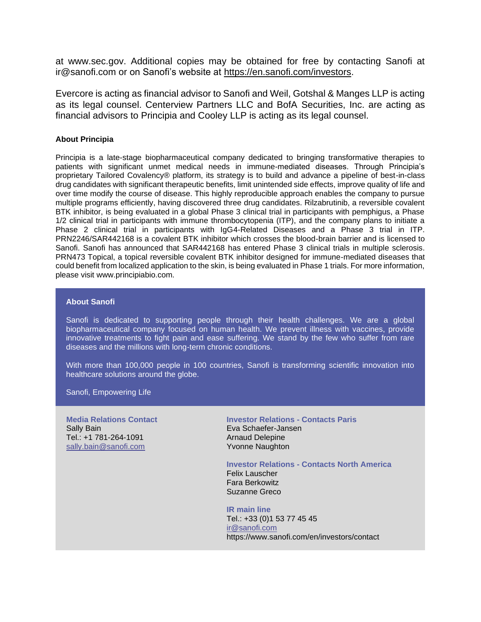at www.sec.gov. Additional copies may be obtained for free by contacting Sanofi at ir@sanofi.com or on Sanofi's website at https://en.sanofi.com/investors.

Evercore is acting as financial advisor to Sanofi and Weil, Gotshal & Manges LLP is acting as its legal counsel. Centerview Partners LLC and BofA Securities, Inc. are acting as financial advisors to Principia and Cooley LLP is acting as its legal counsel.

## **About Principia**

Principia is a late-stage biopharmaceutical company dedicated to bringing transformative therapies to patients with significant unmet medical needs in immune-mediated diseases. Through Principia's proprietary Tailored Covalency® platform, its strategy is to build and advance a pipeline of best-in-class drug candidates with significant therapeutic benefits, limit unintended side effects, improve quality of life and over time modify the course of disease. This highly reproducible approach enables the company to pursue multiple programs efficiently, having discovered three drug candidates. Rilzabrutinib, a reversible covalent BTK inhibitor, is being evaluated in a global Phase 3 clinical trial in participants with pemphigus, a Phase 1/2 clinical trial in participants with immune thrombocytopenia (ITP), and the company plans to initiate a Phase 2 clinical trial in participants with IgG4-Related Diseases and a Phase 3 trial in ITP. PRN2246/SAR442168 is a covalent BTK inhibitor which crosses the blood-brain barrier and is licensed to Sanofi. Sanofi has announced that SAR442168 has entered Phase 3 clinical trials in multiple sclerosis. PRN473 Topical, a topical reversible covalent BTK inhibitor designed for immune-mediated diseases that could benefit from localized application to the skin, is being evaluated in Phase 1 trials. For more information, please visit www.principiabio.com.

### **About Sanofi**

Sanofi is dedicated to supporting people through their health challenges. We are a global biopharmaceutical company focused on human health. We prevent illness with vaccines, provide innovative treatments to fight pain and ease suffering. We stand by the few who suffer from rare diseases and the millions with long-term chronic conditions.

With more than 100,000 people in 100 countries, Sanofi is transforming scientific innovation into healthcare solutions around the globe.

Sanofi, Empowering Life

**Media Relations Contact** Sally Bain Tel.: +1 781-264-1091 [sally.bain@sanofi.com](mailto:sally.bain@sanofi.com)

**Investor Relations - Contacts Paris** Eva Schaefer-Jansen Arnaud Delepine Yvonne Naughton

**Investor Relations - Contacts North America** Felix Lauscher Fara Berkowitz Suzanne Greco

**IR main line**  Tel.: +33 (0)1 53 77 45 45 [ir@sanofi.com](mailto:ir@sanofi.com) https://www.sanofi.com/en/investors/contact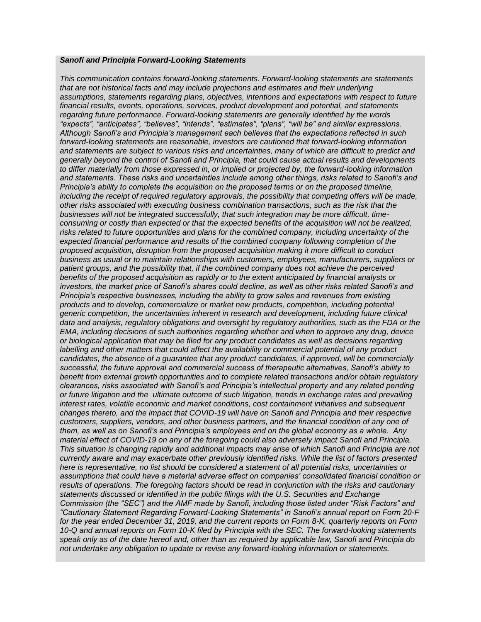#### *Sanofi and Principia Forward-Looking Statements*

*This communication contains forward-looking statements. Forward-looking statements are statements that are not historical facts and may include projections and estimates and their underlying assumptions, statements regarding plans, objectives, intentions and expectations with respect to future financial results, events, operations, services, product development and potential, and statements regarding future performance. Forward-looking statements are generally identified by the words "expects", "anticipates", "believes", "intends", "estimates", "plans", "will be" and similar expressions. Although Sanofi's and Principia's management each believes that the expectations reflected in such forward-looking statements are reasonable, investors are cautioned that forward-looking information and statements are subject to various risks and uncertainties, many of which are difficult to predict and generally beyond the control of Sanofi and Principia, that could cause actual results and developments to differ materially from those expressed in, or implied or projected by, the forward-looking information and statements. These risks and uncertainties include among other things, risks related to Sanofi's and Principia's ability to complete the acquisition on the proposed terms or on the proposed timeline, including the receipt of required regulatory approvals, the possibility that competing offers will be made, other risks associated with executing business combination transactions, such as the risk that the businesses will not be integrated successfully, that such integration may be more difficult, timeconsuming or costly than expected or that the expected benefits of the acquisition will not be realized, risks related to future opportunities and plans for the combined company, including uncertainty of the expected financial performance and results of the combined company following completion of the proposed acquisition, disruption from the proposed acquisition making it more difficult to conduct business as usual or to maintain relationships with customers, employees, manufacturers, suppliers or patient groups, and the possibility that, if the combined company does not achieve the perceived benefits of the proposed acquisition as rapidly or to the extent anticipated by financial analysts or investors, the market price of Sanofi's shares could decline, as well as other risks related Sanofi's and Principia's respective businesses, including the ability to grow sales and revenues from existing products and to develop, commercialize or market new products, competition, including potential generic competition, the uncertainties inherent in research and development, including future clinical data and analysis, regulatory obligations and oversight by regulatory authorities, such as the FDA or the EMA, including decisions of such authorities regarding whether and when to approve any drug, device or biological application that may be filed for any product candidates as well as decisions regarding labelling and other matters that could affect the availability or commercial potential of any product candidates, the absence of a guarantee that any product candidates, if approved, will be commercially successful, the future approval and commercial success of therapeutic alternatives, Sanofi's ability to benefit from external growth opportunities and to complete related transactions and/or obtain regulatory clearances, risks associated with Sanofi's and Principia's intellectual property and any related pending or future litigation and the ultimate outcome of such litigation, trends in exchange rates and prevailing interest rates, volatile economic and market conditions, cost containment initiatives and subsequent changes thereto, and the impact that COVID-19 will have on Sanofi and Principia and their respective customers, suppliers, vendors, and other business partners, and the financial condition of any one of them, as well as on Sanofi's and Principia's employees and on the global economy as a whole. Any material effect of COVID-19 on any of the foregoing could also adversely impact Sanofi and Principia. This situation is changing rapidly and additional impacts may arise of which Sanofi and Principia are not currently aware and may exacerbate other previously identified risks. While the list of factors presented here is representative, no list should be considered a statement of all potential risks, uncertainties or assumptions that could have a material adverse effect on companies' consolidated financial condition or results of operations. The foregoing factors should be read in conjunction with the risks and cautionary statements discussed or identified in the public filings with the U.S. Securities and Exchange Commission (the "SEC") and the AMF made by Sanofi, including those listed under "Risk Factors" and "Cautionary Statement Regarding Forward-Looking Statements" in Sanofi's annual report on Form 20-F for the year ended December 31, 2019, and the current reports on Form 8-K, quarterly reports on Form 10-Q and annual reports on Form 10-K filed by Principia with the SEC. The forward-looking statements speak only as of the date hereof and, other than as required by applicable law, Sanofi and Principia do not undertake any obligation to update or revise any forward-looking information or statements.*